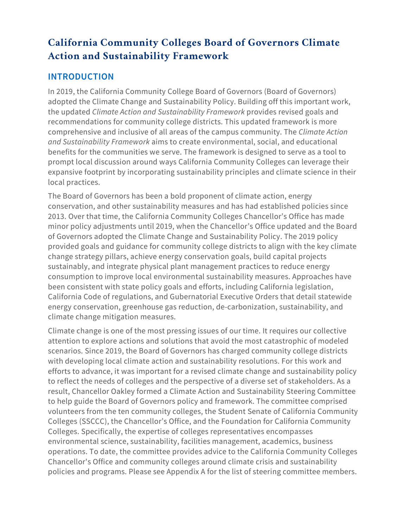# **California Community Colleges Board of Governors Climate Action and Sustainability Framework**

## **INTRODUCTION**

In 2019, the California Community College Board of Governors (Board of Governors) adopted the Climate Change and Sustainability Policy. Building off this important work, the updated *Climate Action and Sustainability Framework* provides revised goals and recommendations for community college districts. This updated framework is more comprehensive and inclusive of all areas of the campus community. The *Climate Action and Sustainability Framework* aims to create environmental, social, and educational benefits for the communities we serve. The framework is designed to serve as a tool to prompt local discussion around ways California Community Colleges can leverage their expansive footprint by incorporating sustainability principles and climate science in their local practices.

The Board of Governors has been a bold proponent of climate action, energy conservation, and other sustainability measures and has had established policies since 2013. Over that time, the California Community Colleges Chancellor's Office has made minor policy adjustments until 2019, when the Chancellor's Office updated and the Board of Governors adopted the Climate Change and Sustainability Policy. The 2019 policy provided goals and guidance for community college districts to align with the key climate change strategy pillars, achieve energy conservation goals, build capital projects sustainably, and integrate physical plant management practices to reduce energy consumption to improve local environmental sustainability measures. Approaches have been consistent with state policy goals and efforts, including California legislation, California Code of regulations, and Gubernatorial Executive Orders that detail statewide energy conservation, greenhouse gas reduction, de-carbonization, sustainability, and climate change mitigation measures.

Climate change is one of the most pressing issues of our time. It requires our collective attention to explore actions and solutions that avoid the most catastrophic of modeled scenarios. Since 2019, the Board of Governors has charged community college districts with developing local climate action and sustainability resolutions. For this work and efforts to advance, it was important for a revised climate change and sustainability policy to reflect the needs of colleges and the perspective of a diverse set of stakeholders. As a result, Chancellor Oakley formed a Climate Action and Sustainability Steering Committee to help guide the Board of Governors policy and framework. The committee comprised volunteers from the ten community colleges, the Student Senate of California Community Colleges (SSCCC), the Chancellor's Office, and the Foundation for California Community Colleges. Specifically, the expertise of colleges representatives encompasses environmental science, sustainability, facilities management, academics, business operations. To date, the committee provides advice to the California Community Colleges Chancellor's Office and community colleges around climate crisis and sustainability policies and programs. Please see Appendix A for the list of steering committee members.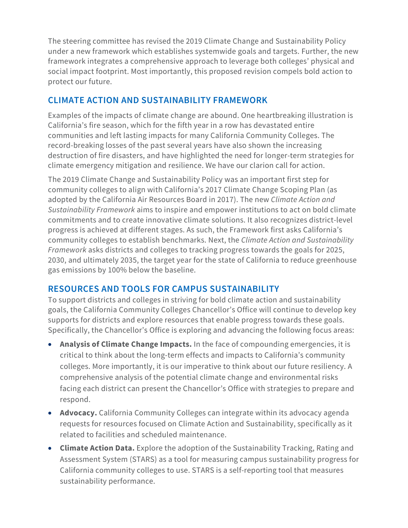The steering committee has revised the 2019 Climate Change and Sustainability Policy under a new framework which establishes systemwide goals and targets. Further, the new framework integrates a comprehensive approach to leverage both colleges' physical and social impact footprint. Most importantly, this proposed revision compels bold action to protect our future.

## **CLIMATE ACTION AND SUSTAINABILITY FRAMEWORK**

Examples of the impacts of climate change are abound. One heartbreaking illustration is California's fire season, which for the fifth year in a row has devastated entire communities and left lasting impacts for many California Community Colleges. The record-breaking losses of the past several years have also shown the increasing destruction of fire disasters, and have highlighted the need for longer-term strategies for climate emergency mitigation and resilience. We have our clarion call for action.

The 2019 Climate Change and Sustainability Policy was an important first step for community colleges to align with California's 2017 Climate Change Scoping Plan (as adopted by the California Air Resources Board in 2017). The new *Climate Action and Sustainability Framework* aims to inspire and empower institutions to act on bold climate commitments and to create innovative climate solutions. It also recognizes district-level progress is achieved at different stages. As such, the Framework first asks California's community colleges to establish benchmarks. Next, the *Climate Action and Sustainability Framework* asks districts and colleges to tracking progress towards the goals for 2025, 2030, and ultimately 2035, the target year for the state of California to reduce greenhouse gas emissions by 100% below the baseline.

## **RESOURCES AND TOOLS FOR CAMPUS SUSTAINABILITY**

To support districts and colleges in striving for bold climate action and sustainability goals, the California Community Colleges Chancellor's Office will continue to develop key supports for districts and explore resources that enable progress towards these goals. Specifically, the Chancellor's Office is exploring and advancing the following focus areas:

- **Analysis of Climate Change Impacts.** In the face of compounding emergencies, it is critical to think about the long-term effects and impacts to California's community colleges. More importantly, it is our imperative to think about our future resiliency. A comprehensive analysis of the potential climate change and environmental risks facing each district can present the Chancellor's Office with strategies to prepare and respond.
- **Advocacy.** California Community Colleges can integrate within its advocacy agenda requests for resources focused on Climate Action and Sustainability, specifically as it related to facilities and scheduled maintenance.
- **Climate Action Data.** Explore the adoption of the Sustainability Tracking, Rating and Assessment System (STARS) as a tool for measuring campus sustainability progress for California community colleges to use. STARS is a self-reporting tool that measures sustainability performance.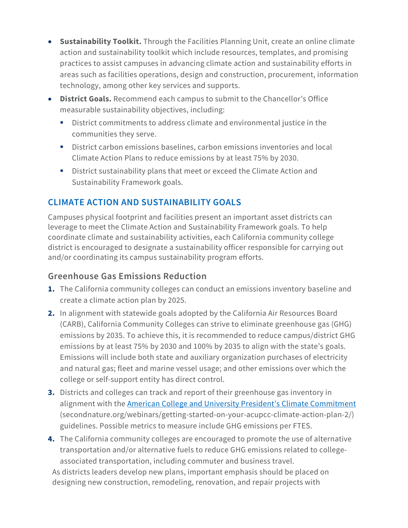- **Sustainability Toolkit.** Through the Facilities Planning Unit, create an online climate action and sustainability toolkit which include resources, templates, and promising practices to assist campuses in advancing climate action and sustainability efforts in areas such as facilities operations, design and construction, procurement, information technology, among other key services and supports.
- **District Goals.** Recommend each campus to submit to the Chancellor's Office measurable sustainability objectives, including:
	- District commitments to address climate and environmental justice in the communities they serve.
	- District carbon emissions baselines, carbon emissions inventories and local Climate Action Plans to reduce emissions by at least 75% by 2030.
	- District sustainability plans that meet or exceed the Climate Action and Sustainability Framework goals.

## **CLIMATE ACTION AND SUSTAINABILITY GOALS**

Campuses physical footprint and facilities present an important asset districts can leverage to meet the Climate Action and Sustainability Framework goals. To help coordinate climate and sustainability activities, each California community college district is encouraged to designate a sustainability officer responsible for carrying out and/or coordinating its campus sustainability program efforts.

### **Greenhouse Gas Emissions Reduction**

- **1.** The California community colleges can conduct an emissions inventory baseline and create a climate action plan by 2025.
- **2.** In alignment with statewide goals adopted by the California Air Resources Board (CARB), California Community Colleges can strive to eliminate greenhouse gas (GHG) emissions by 2035. To achieve this, it is recommended to reduce campus/district GHG emissions by at least 75% by 2030 and 100% by 2035 to align with the state's goals. Emissions will include both state and auxiliary organization purchases of electricity and natural gas; fleet and marine vessel usage; and other emissions over which the college or self-support entity has direct control.
- **3.** Districts and colleges can track and report of their greenhouse gas inventory in alignment with the [American College and University President's Climate Commitment](https://secondnature.org/webinars/getting-started-on-your-acupcc-climate-action-plan-2/) (secondnature.org/webinars/getting-started-on-your-acupcc-climate-action-plan-2/) guidelines. Possible metrics to measure include GHG emissions per FTES.
- **4.** The California community colleges are encouraged to promote the use of alternative transportation and/or alternative fuels to reduce GHG emissions related to collegeassociated transportation, including commuter and business travel.

As districts leaders develop new plans, important emphasis should be placed on designing new construction, remodeling, renovation, and repair projects with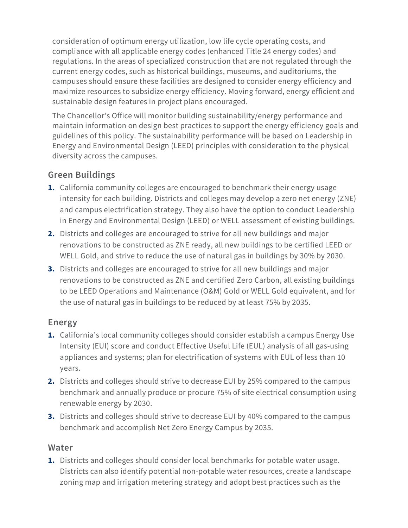consideration of optimum energy utilization, low life cycle operating costs, and compliance with all applicable energy codes (enhanced Title 24 energy codes) and regulations. In the areas of specialized construction that are not regulated through the current energy codes, such as historical buildings, museums, and auditoriums, the campuses should ensure these facilities are designed to consider energy efficiency and maximize resources to subsidize energy efficiency. Moving forward, energy efficient and sustainable design features in project plans encouraged.

The Chancellor's Office will monitor building sustainability/energy performance and maintain information on design best practices to support the energy efficiency goals and guidelines of this policy. The sustainability performance will be based on Leadership in Energy and Environmental Design (LEED) principles with consideration to the physical diversity across the campuses.

## **Green Buildings**

- **1.** California community colleges are encouraged to benchmark their energy usage intensity for each building. Districts and colleges may develop a zero net energy (ZNE) and campus electrification strategy. They also have the option to conduct Leadership in Energy and Environmental Design (LEED) or WELL assessment of existing buildings.
- **2.** Districts and colleges are encouraged to strive for all new buildings and major renovations to be constructed as ZNE ready, all new buildings to be certified LEED or WELL Gold, and strive to reduce the use of natural gas in buildings by 30% by 2030.
- **3.** Districts and colleges are encouraged to strive for all new buildings and major renovations to be constructed as ZNE and certified Zero Carbon, all existing buildings to be LEED Operations and Maintenance (O&M) Gold or WELL Gold equivalent, and for the use of natural gas in buildings to be reduced by at least 75% by 2035.

#### **Energy**

- **1.** California's local community colleges should consider establish a campus Energy Use Intensity (EUI) score and conduct Effective Useful Life (EUL) analysis of all gas-using appliances and systems; plan for electrification of systems with EUL of less than 10 years.
- **2.** Districts and colleges should strive to decrease EUI by 25% compared to the campus benchmark and annually produce or procure 75% of site electrical consumption using renewable energy by 2030.
- **3.** Districts and colleges should strive to decrease EUI by 40% compared to the campus benchmark and accomplish Net Zero Energy Campus by 2035.

#### **Water**

**1.** Districts and colleges should consider local benchmarks for potable water usage. Districts can also identify potential non-potable water resources, create a landscape zoning map and irrigation metering strategy and adopt best practices such as the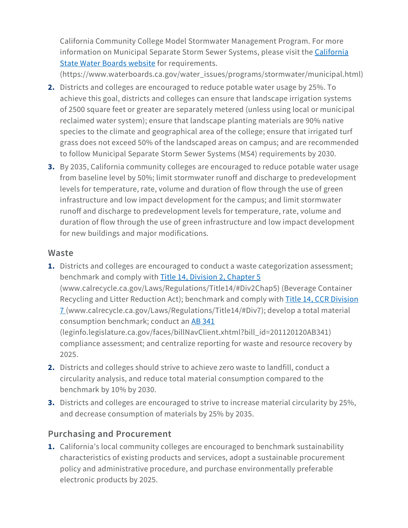California Community College Model Stormwater Management Program. For more information on Municipal Separate Storm Sewer Systems, please visit the [California](https://www.waterboards.ca.gov/water_issues/programs/stormwater/municipal.html)  [State Water Boards website](https://www.waterboards.ca.gov/water_issues/programs/stormwater/municipal.html) for requirements.

(https://www.waterboards.ca.gov/water\_issues/programs/stormwater/municipal.html)

- **2.** Districts and colleges are encouraged to reduce potable water usage by 25%. To achieve this goal, districts and colleges can ensure that landscape irrigation systems of 2500 square feet or greater are separately metered (unless using local or municipal reclaimed water system); ensure that landscape planting materials are 90% native species to the climate and geographical area of the college; ensure that irrigated turf grass does not exceed 50% of the landscaped areas on campus; and are recommended to follow Municipal Separate Storm Sewer Systems (MS4) requirements by 2030.
- **3.** By 2035, California community colleges are encouraged to reduce potable water usage from baseline level by 50%; limit stormwater runoff and discharge to predevelopment levels for temperature, rate, volume and duration of flow through the use of green infrastructure and low impact development for the campus; and limit stormwater runoff and discharge to predevelopment levels for temperature, rate, volume and duration of flow through the use of green infrastructure and low impact development for new buildings and major modifications.

#### **Waste**

- **1.** Districts and colleges are encouraged to conduct a waste categorization assessment; benchmark and comply wit[h Title 14, Division 2, Chapter 5](https://www.calrecycle.ca.gov/Laws/Regulations/Title14/#Div2Chap5) (www.calrecycle.ca.gov/Laws/Regulations/Title14/#Div2Chap5) (Beverage Container Recycling and Litter Reduction Act); benchmark and comply with [Title 14, CCR Division](https://www.calrecycle.ca.gov/Laws/Regulations/Title14/#Div7)  [7](https://www.calrecycle.ca.gov/Laws/Regulations/Title14/#Div7) (www.calrecycle.ca.gov/Laws/Regulations/Title14/#Div7); develop a total material consumption benchmark; conduct an [AB 341](https://leginfo.legislature.ca.gov/faces/billNavClient.xhtml?bill_id=201120120AB341) (leginfo.legislature.ca.gov/faces/billNavClient.xhtml?bill\_id=201120120AB341) compliance assessment; and centralize reporting for waste and resource recovery by 2025.
- **2.** Districts and colleges should strive to achieve zero waste to landfill, conduct a circularity analysis, and reduce total material consumption compared to the benchmark by 10% by 2030.
- **3.** Districts and colleges are encouraged to strive to increase material circularity by 25%, and decrease consumption of materials by 25% by 2035.

### **Purchasing and Procurement**

**1.** California's local community colleges are encouraged to benchmark sustainability characteristics of existing products and services, adopt a sustainable procurement policy and administrative procedure, and purchase environmentally preferable electronic products by 2025.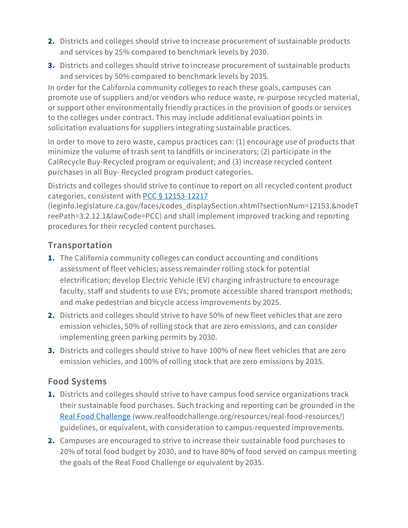- **2.** Districts and colleges should strive to increase procurement of sustainable products and services by 25% compared to benchmark levels by 2030.
- **3.** Districts and colleges should strive to increase procurement of sustainable products and services by 50% compared to benchmark levels by 2035.

In order for the California community colleges to reach these goals, campuses can promote use of suppliers and/or vendors who reduce waste, re-purpose recycled material, or support other environmentally friendly practices in the provision of goods or services to the colleges under contract. This may include additional evaluation points in solicitation evaluations for suppliers integrating sustainable practices.

In order to move to zero waste, campus practices can: (1) encourage use of products that minimize the volume of trash sent to landfills or incinerators; (2) participate in the CalRecycle Buy-Recycled program or equivalent; and (3) increase recycled content purchases in all Buy- Recycled program product categories.

Districts and colleges should strive to continue to report on all recycled content product categories, consistent with [PCC § 12153-12217](https://leginfo.legislature.ca.gov/faces/codes_displaySection.xhtml?sectionNum=12153.&nodeTreePath=3.2.12.1&lawCode=PCC)

(leginfo.legislature.ca.gov/faces/codes\_displaySection.xhtml?sectionNum=12153.&nodeT reePath=3.2.12.1&lawCode=PCC) and shall implement improved tracking and reporting procedures for their recycled content purchases.

## **Transportation**

- **1.** The California community colleges can conduct accounting and conditions assessment of fleet vehicles; assess remainder rolling stock for potential electrification; develop Electric Vehicle (EV) charging infrastructure to encourage faculty, staff and students to use EVs; promote accessible shared transport methods; and make pedestrian and bicycle access improvements by 2025.
- **2.** Districts and colleges should strive to have 50% of new fleet vehicles that are zero emission vehicles, 50% of rolling stock that are zero emissions, and can consider implementing green parking permits by 2030.
- **3.** Districts and colleges should strive to have 100% of new fleet vehicles that are zero emission vehicles, and 100% of rolling stock that are zero emissions by 2035.

### **Food Systems**

- **1.** Districts and colleges should strive to have campus food service organizations track their sustainable food purchases. Such tracking and reporting can be grounded in the [Real Food Challenge](https://www.realfoodchallenge.org/resources/real-food-resources/) (www.realfoodchallenge.org/resources/real-food-resources/) guidelines, or equivalent, with consideration to campus-requested improvements.
- **2.** Campuses are encouraged to strive to increase their sustainable food purchases to 20% of total food budget by 2030, and to have 80% of food served on campus meeting the goals of the Real Food Challenge or equivalent by 2035.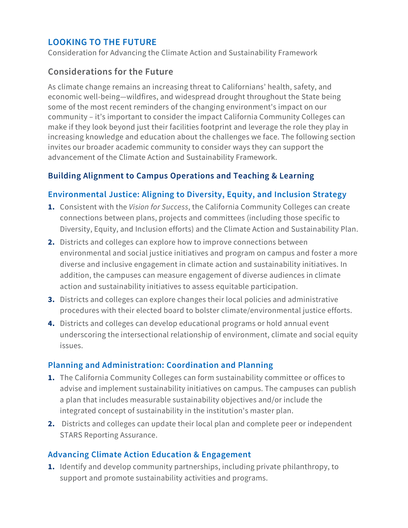## **LOOKING TO THE FUTURE**

Consideration for Advancing the Climate Action and Sustainability Framework

## **Considerations for the Future**

As climate change remains an increasing threat to Californians' health, safety, and economic well-being—wildfires, and widespread drought throughout the State being some of the most recent reminders of the changing environment's impact on our community – it's important to consider the impact California Community Colleges can make if they look beyond just their facilities footprint and leverage the role they play in increasing knowledge and education about the challenges we face. The following section invites our broader academic community to consider ways they can support the advancement of the Climate Action and Sustainability Framework.

#### **Building Alignment to Campus Operations and Teaching & Learning**

#### **Environmental Justice: Aligning to Diversity, Equity, and Inclusion Strategy**

- **1.** Consistent with the *Vision for Success*, the California Community Colleges can create connections between plans, projects and committees (including those specific to Diversity, Equity, and Inclusion efforts) and the Climate Action and Sustainability Plan.
- **2.** Districts and colleges can explore how to improve connections between environmental and social justice initiatives and program on campus and foster a more diverse and inclusive engagement in climate action and sustainability initiatives. In addition, the campuses can measure engagement of diverse audiences in climate action and sustainability initiatives to assess equitable participation.
- **3.** Districts and colleges can explore changes their local policies and administrative procedures with their elected board to bolster climate/environmental justice efforts.
- **4.** Districts and colleges can develop educational programs or hold annual event underscoring the intersectional relationship of environment, climate and social equity issues.

### **Planning and Administration: Coordination and Planning**

- **1.** The California Community Colleges can form sustainability committee or offices to advise and implement sustainability initiatives on campus. The campuses can publish a plan that includes measurable sustainability objectives and/or include the integrated concept of sustainability in the institution's master plan.
- **2.** Districts and colleges can update their local plan and complete peer or independent STARS Reporting Assurance.

#### **Advancing Climate Action Education & Engagement**

**1.** Identify and develop community partnerships, including private philanthropy, to support and promote sustainability activities and programs.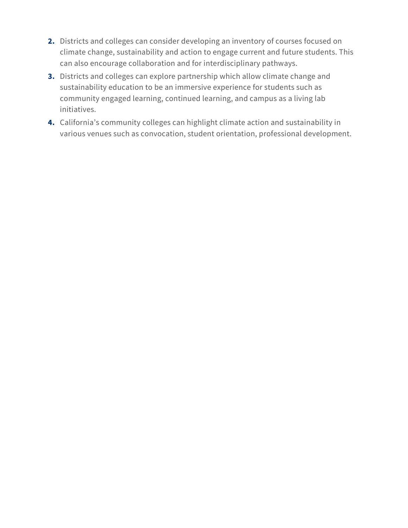- **2.** Districts and colleges can consider developing an inventory of courses focused on climate change, sustainability and action to engage current and future students. This can also encourage collaboration and for interdisciplinary pathways.
- **3.** Districts and colleges can explore partnership which allow climate change and sustainability education to be an immersive experience for students such as community engaged learning, continued learning, and campus as a living lab initiatives.
- **4.** California's community colleges can highlight climate action and sustainability in various venues such as convocation, student orientation, professional development.